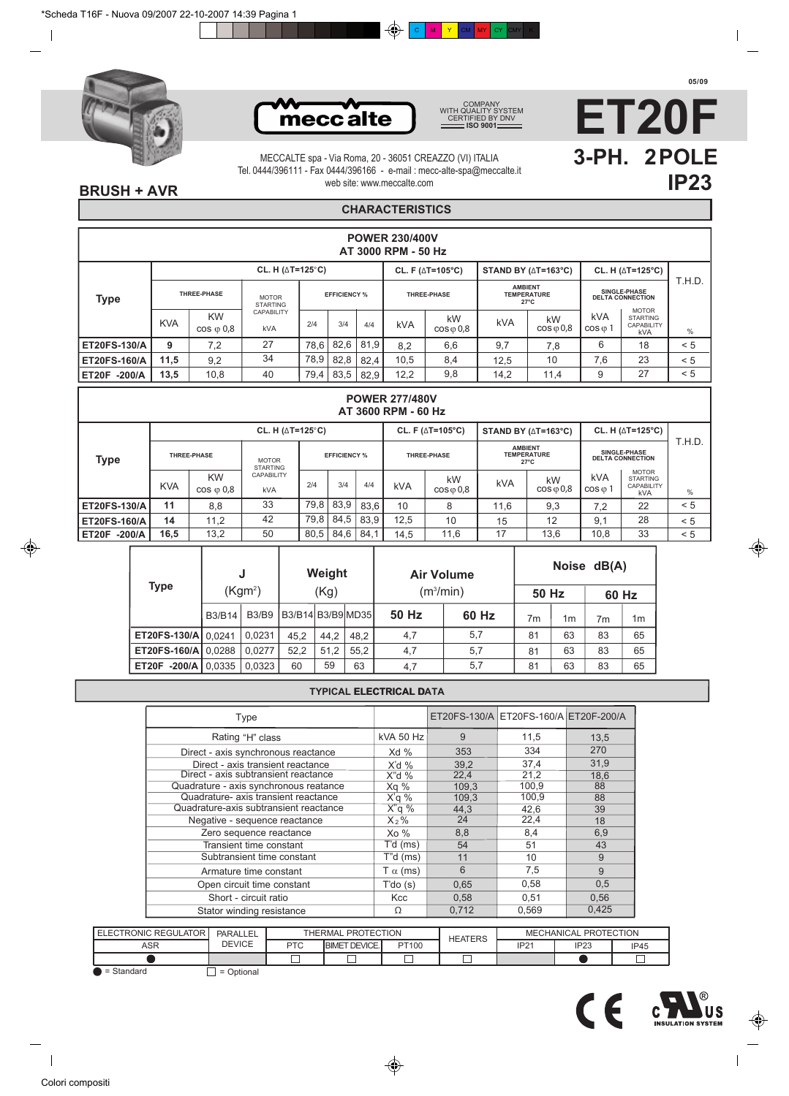



COMPANY WITH QUALITY SYSTEM CERTIFIED BY DNV **ISO 9001**



web site: www.meccalte.com MECCALTE spa - Via Roma, 20 - 36051 CREAZZO (VI) ITALIA Tel. 0444/396111 - Fax 0444/396166 - e-mail : mecc-alte-spa@meccalte.it

## **BRUSH + AVR**

# **CHARACTERISTICS**

|                     |            |                                 |                                        |      |                     |      | <b>POWER 230/400V</b><br>AT 3000 RPM - 50 Hz |                                      |                                           |                          |                                |                                                                    |               |
|---------------------|------------|---------------------------------|----------------------------------------|------|---------------------|------|----------------------------------------------|--------------------------------------|-------------------------------------------|--------------------------|--------------------------------|--------------------------------------------------------------------|---------------|
|                     |            |                                 | CL. H ( $\triangle T = 125^{\circ}C$ ) |      |                     |      |                                              | CL. F ( $\triangle T=105^{\circ}C$ ) | STAND BY ( $\triangle T = 163^{\circ}C$ ) |                          |                                | CL. H $(\triangle T=125^{\circ}C)$                                 |               |
| <b>Type</b>         |            | THREE-PHASE                     | <b>MOTOR</b><br><b>STARTING</b>        |      | <b>EFFICIENCY %</b> |      |                                              | <b>THREE-PHASE</b>                   | <b>AMBIENT</b><br><b>TEMPERATURE</b>      | $27^{\circ}$ C           |                                | SINGLE-PHASE<br><b>DELTA CONNECTION</b>                            | T.H.D.        |
|                     | <b>KVA</b> | <b>KW</b><br>$\cos \varphi 0.8$ | <b>CAPABILITY</b><br>kVA               | 2/4  | 3/4                 | 4/4  | <b>kVA</b>                                   | kW<br>$\cos \varphi 0.8$             | <b>kVA</b>                                | kW<br>$\cos \varphi 0.8$ | <b>kVA</b><br>$\cos \varphi 1$ | <b>MOTOR</b><br><b>STARTING</b><br><b>CAPABILITY</b><br><b>kVA</b> | $\frac{0}{0}$ |
| ET20FS-130/A        | 9          | 7,2                             | 27                                     | 78,6 | 82.6                | 81.9 | 8.2                                          | 6,6                                  | 9,7                                       | 7,8                      | 6                              | 18                                                                 | < 5           |
| <b>ET20FS-160/A</b> | 11,5       | 9,2                             | 34                                     | 78,9 | 82,8                | 82.4 | 10,5                                         | 8,4                                  | 12.5                                      | 10                       | 7,6                            | 23                                                                 | < 5           |
| $-200/A$<br>ET20F   | 13,5       | 10,8                            | 40                                     | 79,4 | 83,5                | 82.9 | 12,2                                         | 9,8                                  | 14,2                                      | 11,4                     | 9                              | 27                                                                 | < 5           |

|              |            |                                 |                                    |      |                     |      | <b>POWER 277/480V</b><br>AT 3600 RPM - 60 Hz |                                      |                |                                           |                                |                                                             |        |
|--------------|------------|---------------------------------|------------------------------------|------|---------------------|------|----------------------------------------------|--------------------------------------|----------------|-------------------------------------------|--------------------------------|-------------------------------------------------------------|--------|
|              |            |                                 | CL. H $(\triangle T=125^{\circ}C)$ |      |                     |      |                                              | CL. F ( $\triangle T=105^{\circ}C$ ) |                | STAND BY ( $\triangle T = 163^{\circ}C$ ) |                                | CL. H $(\triangle T=125^{\circ}C)$                          |        |
| <b>Type</b>  |            | THREE-PHASE                     | <b>MOTOR</b><br><b>STARTING</b>    |      | <b>EFFICIENCY %</b> |      |                                              | <b>THREE-PHASE</b>                   | <b>AMBIENT</b> | <b>TEMPERATURE</b><br>$27^{\circ}$ C      |                                | SINGLE-PHASE<br><b>DELTA CONNECTION</b>                     | T.H.D. |
|              | <b>KVA</b> | <b>KW</b><br>$\cos \varphi 0.8$ | CAPABILITY<br><b>kVA</b>           | 2/4  | 3/4                 | 4/4  | <b>kVA</b>                                   | kW<br>$\cos \varphi 0.8$             | <b>kVA</b>     | kW<br>$\cos \varphi 0.8$                  | <b>kVA</b><br>$\cos \varphi 1$ | <b>MOTOR</b><br><b>STARTING</b><br>CAPABILITY<br><b>kVA</b> | %      |
| ET20FS-130/A | 11         | 8,8                             | 33                                 | 79,8 | 83.9                | 83.6 | 10                                           | 8                                    | 11,6           | 9,3                                       | 7,2                            | 22                                                          | < 5    |
| ET20FS-160/A | 14         | 11.2                            | 42                                 | 79,8 | 84,5                | 83.9 | 12,5                                         | 10                                   | 15             | 12                                        | 9,1                            | 28                                                          | < 5    |
| ET20F -200/A | 16,5       | 13,2                            | 50                                 | 80,5 | 84.6                | 84.1 | 14,5                                         | 11,6                                 | 17             | 13,6                                      | 10,8                           | 33                                                          | < 5    |

|                            |               | J                   |                     | Weight |      | <b>Air Volume</b>     |       |       |    | Noise dB(A) |    |
|----------------------------|---------------|---------------------|---------------------|--------|------|-----------------------|-------|-------|----|-------------|----|
| Type                       |               | (Kgm <sup>2</sup> ) |                     | (Kg)   |      | (m <sup>3</sup> /min) |       | 50 Hz |    | 60 Hz       |    |
|                            | <b>B3/B14</b> | <b>B3/B9</b>        | B3/B14 B3/B9 MD35 I |        |      | 50 Hz                 | 60 Hz | 7m    | 1m | 7m          | 1m |
| ET20FS-130/A   0.0241      |               | 0.0231              | 45.2                | 44.2   | 48.2 | 4,7                   | 5,7   | 81    | 63 | 83          | 65 |
| <b>ET20FS-160/A 0.0288</b> |               | 0.0277              | 52.2                | 51,2   | 55.2 | 4,7                   | 5,7   | 81    | 63 | 83          | 65 |
| ET20F -200/A               | 0.0335        | 0,0323              | 60                  | 59     | 63   | 4,7                   | 5,7   | 81    | 63 | 83          | 65 |

### **TYPICAL ELECTRICAL DATA ELECTRICAL D**

| Type                                   |                 |       | ET20FS-130/A ET20FS-160/A ET20F-200/A |       |
|----------------------------------------|-----------------|-------|---------------------------------------|-------|
| Rating "H" class                       | kVA 50 Hz       | 9     | 11,5                                  | 13,5  |
| Direct - axis synchronous reactance    | Xd %            | 353   | 334                                   | 270   |
| Direct - axis transient reactance      | $X'd$ %         | 39,2  | 37,4                                  | 31,9  |
| Direct - axis subtransient reactance   | $X''$ d %       | 22,4  | 21,2                                  | 18,6  |
| Quadrature - axis synchronous reatance | Xg %            | 109,3 | 100,9                                 | 88    |
| Quadrature- axis transient reactance   | $X'q$ %         | 109,3 | 100,9                                 | 88    |
| Quadrature-axis subtransient reactance | $X''$ q %       | 44.3  | 42,6                                  | 39    |
| Negative - sequence reactance          | $X_2\%$         | 24    | 22,4                                  | 18    |
| Zero sequence reactance                | $X_0$ %         | 8,8   | 8,4                                   | 6,9   |
| Transient time constant                | T'd (ms)        | 54    | 51                                    | 43    |
| Subtransient time constant             | $T''d$ (ms)     | 11    | 10                                    | 9     |
| Armature time constant                 | T $\alpha$ (ms) | 6     | 7,5                                   | 9     |
| Open circuit time constant             | T'do(s)         | 0,65  | 0,58                                  | 0,5   |
| Short - circuit ratio                  | Kcc             | 0.58  | 0.51                                  | 0.56  |
| Stator winding resistance              | Ω               | 0,712 | 0,569                                 | 0,425 |

| <b>ELECTRONIC REGULATOR</b> | PARALLEL      |            | THERMAL PROTECTION   |       | <b>HEATERS</b> |             | MECHANICAL PROTECTION |      |
|-----------------------------|---------------|------------|----------------------|-------|----------------|-------------|-----------------------|------|
| ASR                         | <b>DEVICE</b> | <b>PTC</b> | <b>BIMET DEVICE.</b> | PT100 |                | <b>IP21</b> | IP <sub>23</sub>      | IP45 |
|                             |               |            |                      |       | _              |             |                       |      |

 $\bullet$  = Standard  $\Box$  = Optional